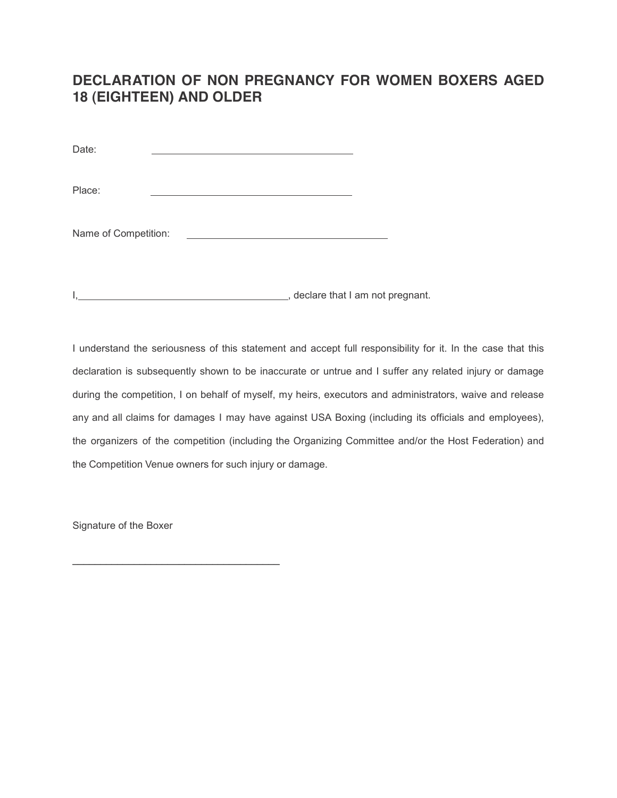## **DECLARATION OF NON PREGNANCY FOR WOMEN BOXERS AGED 18 (EIGHTEEN) AND OLDER**

Date:

Place:

Name of Competition:

I,  $\blacksquare$ 

I understand the seriousness of this statement and accept full responsibility for it. In the case that this declaration is subsequently shown to be inaccurate or untrue and I suffer any related injury or damage during the competition, I on behalf of myself, my heirs, executors and administrators, waive and release any and all claims for damages I may have against USA Boxing (including its officials and employees), the organizers of the competition (including the Organizing Committee and/or the Host Federation) and the Competition Venue owners for such injury or damage.

Signature of the Boxer

 $\mathcal{L}_\text{max}$  and  $\mathcal{L}_\text{max}$  and  $\mathcal{L}_\text{max}$  and  $\mathcal{L}_\text{max}$